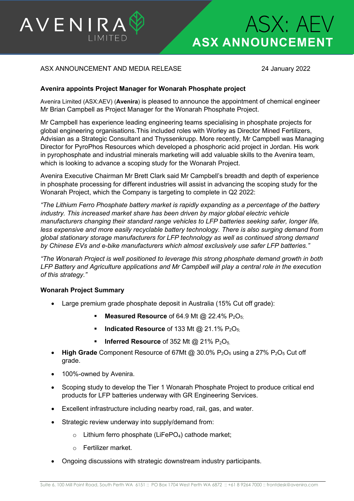

# **ASX ANNOUNCEMENT** ASX: AEV

## ASX ANNOUNCEMENT AND MEDIA RELEASE 24 January 2022

### **Avenira appoints Project Manager for Wonarah Phosphate project**

Avenira Limited (ASX:AEV) (**Avenira**) is pleased to announce the appointment of chemical engineer Mr Brian Campbell as Project Manager for the Wonarah Phosphate Project.

Mr Campbell has experience leading engineering teams specialising in phosphate projects for global engineering organisations.This included roles with Worley as Director Mined Fertilizers, Advisian as a Strategic Consultant and Thyssenkrupp. More recently, Mr Campbell was Managing Director for PyroPhos Resources which developed a phosphoric acid project in Jordan. His work in pyrophosphate and industrial minerals marketing will add valuable skills to the Avenira team, which is looking to advance a scoping study for the Wonarah Project.

Avenira Executive Chairman Mr Brett Clark said Mr Campbell's breadth and depth of experience in phosphate processing for different industries will assist in advancing the scoping study for the Wonarah Project, which the Company is targeting to complete in Q2 2022:

*"The Lithium Ferro Phosphate battery market is rapidly expanding as a percentage of the battery industry. This increased market share has been driven by major global electric vehicle manufacturers changing their standard range vehicles to LFP batteries seeking safer, longer life, less expensive and more easily recyclable battery technology. There is also surging demand from global stationary storage manufacturers for LFP technology as well as continued strong demand by Chinese EVs and e-bike manufacturers which almost exclusively use safer LFP batteries."*

*"The Wonarah Project is well positioned to leverage this strong phosphate demand growth in both LFP Battery and Agriculture applications and Mr Campbell will play a central role in the execution of this strategy."*

#### **Wonarah Project Summary**

- Large premium grade phosphate deposit in Australia (15% Cut off grade):
	- **Measured Resource** of 64.9 Mt @ 22.4% P<sub>2</sub>O<sub>5:</sub>
	- **Indicated Resource** of 133 Mt @ 21.1% P<sub>2</sub>O<sub>5</sub>;
	- **Inferred Resource** of 352 Mt @ 21% P<sub>2</sub>O<sub>5.</sub>
- **High Grade** Component Resource of 67Mt  $@30.0\%$  P<sub>2</sub>O<sub>5</sub> using a 27% P<sub>2</sub>O<sub>5</sub> Cut off grade.
- 100%-owned by Avenira.
- Scoping study to develop the Tier 1 Wonarah Phosphate Project to produce critical end products for LFP batteries underway with GR Engineering Services.
- Excellent infrastructure including nearby road, rail, gas, and water.
- Strategic review underway into supply/demand from:
	- $\circ$  Lithium ferro phosphate (LiFePO<sub>4</sub>) cathode market;
	- o Fertilizer market.
- Ongoing discussions with strategic downstream industry participants.